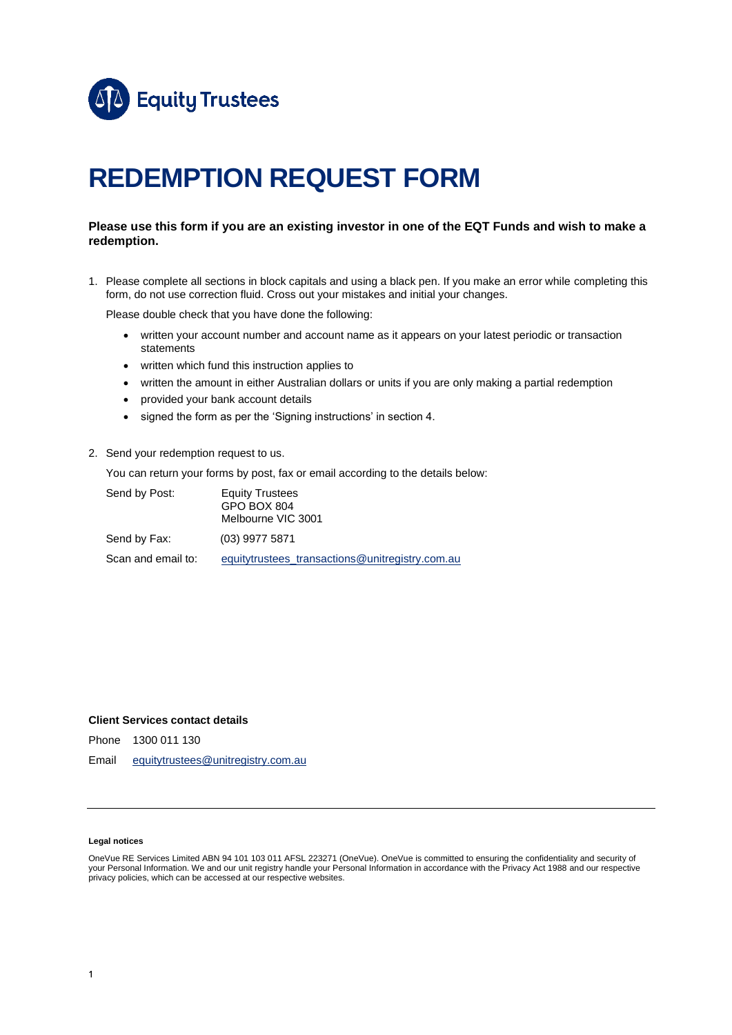

# **REDEMPTION REQUEST FORM**

### **Please use this form if you are an existing investor in one of the EQT Funds and wish to make a redemption.**

1. Please complete all sections in block capitals and using a black pen. If you make an error while completing this form, do not use correction fluid. Cross out your mistakes and initial your changes.

Please double check that you have done the following:

- written your account number and account name as it appears on your latest periodic or transaction statements
- written which fund this instruction applies to
- written the amount in either Australian dollars or units if you are only making a partial redemption
- provided your bank account details
- signed the form as per the 'Signing instructions' in section 4.
- 2. Send your redemption request to us.

You can return your forms by post, fax or email according to the details below:

| Send by Post:      | <b>Equity Trustees</b><br>GPO BOX 804<br>Melbourne VIC 3001 |
|--------------------|-------------------------------------------------------------|
| Send by Fax:       | (03) 9977 5871                                              |
| Scan and email to: | equitytrustees transactions@unitregistry.com.au             |

### **Client Services contact details**

Phone 1300 011 130

Email [equitytrustees@unitregistry.com.au](mailto:equitytrustees@unitregistry.com.au)

### **Legal notices**

OneVue RE Services Limited ABN 94 101 103 011 AFSL 223271 (OneVue). OneVue is committed to ensuring the confidentiality and security of your Personal Information. We and our unit registry handle your Personal Information in accordance with the Privacy Act 1988 and our respective privacy policies, which can be accessed at our respective websites.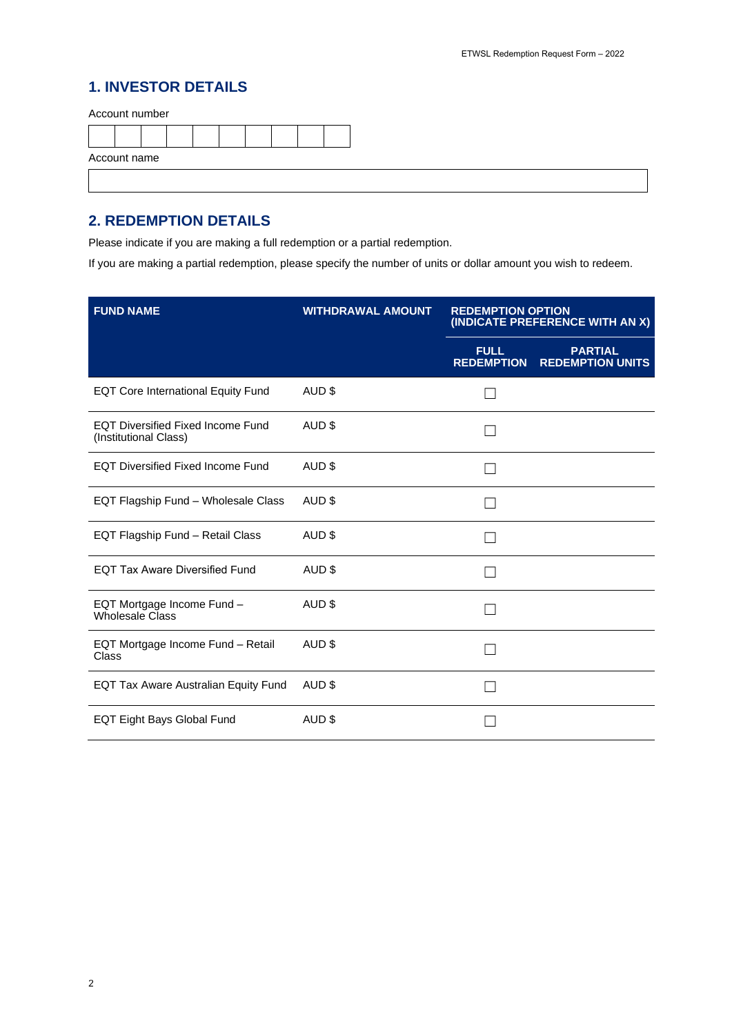## **1. INVESTOR DETAILS**

Account number

| Account name |  |  |  |  |  |  |  |  |
|--------------|--|--|--|--|--|--|--|--|
|              |  |  |  |  |  |  |  |  |

# **2. REDEMPTION DETAILS**

Please indicate if you are making a full redemption or a partial redemption.

If you are making a partial redemption, please specify the number of units or dollar amount you wish to redeem.

| <b>FUND NAME</b>                                                  | <b>WITHDRAWAL AMOUNT</b> | <b>REDEMPTION OPTION</b><br>(INDICATE PREFERENCE WITH AN X) |                                           |  |
|-------------------------------------------------------------------|--------------------------|-------------------------------------------------------------|-------------------------------------------|--|
|                                                                   |                          | <b>FULL</b><br><b>REDEMPTION</b>                            | <b>PARTIAL</b><br><b>REDEMPTION UNITS</b> |  |
| <b>EQT Core International Equity Fund</b>                         | AUD \$                   |                                                             |                                           |  |
| <b>EQT Diversified Fixed Income Fund</b><br>(Institutional Class) | AUD <sub>\$</sub>        |                                                             |                                           |  |
| <b>EQT Diversified Fixed Income Fund</b>                          | AUD <sub>\$</sub>        |                                                             |                                           |  |
| EQT Flagship Fund - Wholesale Class                               | AUD \$                   |                                                             |                                           |  |
| EQT Flagship Fund - Retail Class                                  | AUD \$                   |                                                             |                                           |  |
| <b>EQT Tax Aware Diversified Fund</b>                             | AUD <sub>\$</sub>        |                                                             |                                           |  |
| EQT Mortgage Income Fund -<br><b>Wholesale Class</b>              | AUD \$                   |                                                             |                                           |  |
| EQT Mortgage Income Fund - Retail<br>Class                        | AUD <sub>\$</sub>        |                                                             |                                           |  |
| <b>EQT Tax Aware Australian Equity Fund</b>                       | AUD \$                   |                                                             |                                           |  |
| EQT Eight Bays Global Fund                                        | AUD \$                   |                                                             |                                           |  |